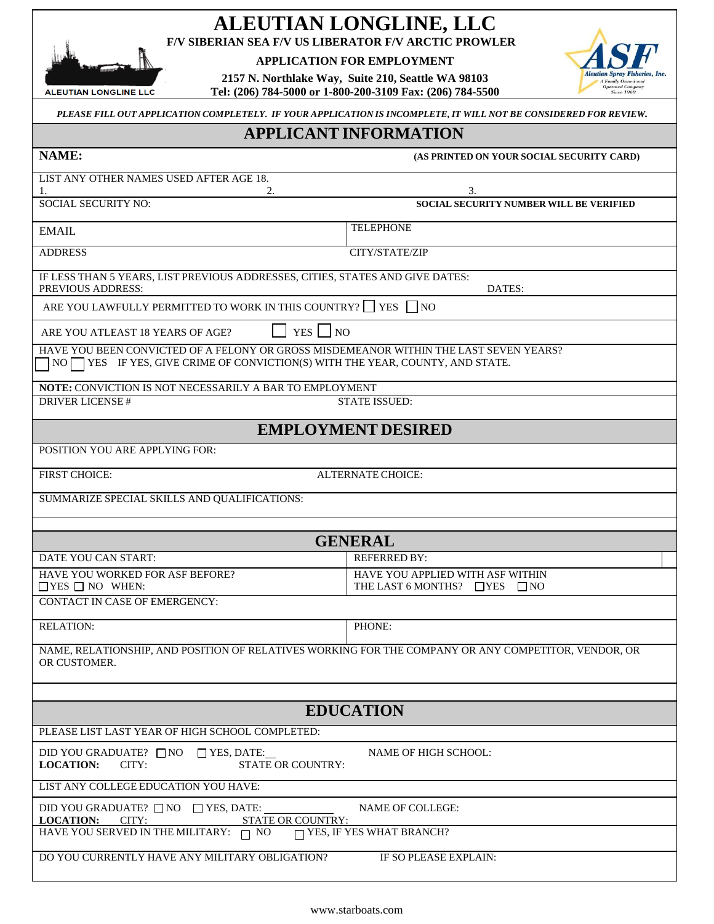| ALEUTIAN LONGLINE, LLC<br>F/V SIBERIAN SEA F/V US LIBERATOR F/V ARCTIC PROWLER                                                                                        |                                                                                                                  |  |
|-----------------------------------------------------------------------------------------------------------------------------------------------------------------------|------------------------------------------------------------------------------------------------------------------|--|
|                                                                                                                                                                       | <b>APPLICATION FOR EMPLOYMENT</b>                                                                                |  |
|                                                                                                                                                                       | 2157 N. Northlake Way, Suite 210, Seattle WA 98103<br><b>A Family Owned and</b>                                  |  |
| <b>ALEUTIAN LONGLINE LLC</b>                                                                                                                                          | <b>Operated Company</b><br>Tel: (206) 784-5000 or 1-800-200-3109 Fax: (206) 784-5500<br><b>Since 1969</b>        |  |
|                                                                                                                                                                       | PLEASE FILL OUT APPLICATION COMPLETELY. IF YOUR APPLICATION IS INCOMPLETE, IT WILL NOT BE CONSIDERED FOR REVIEW. |  |
|                                                                                                                                                                       | <b>APPLICANT INFORMATION</b>                                                                                     |  |
| <b>NAME:</b>                                                                                                                                                          | (AS PRINTED ON YOUR SOCIAL SECURITY CARD)                                                                        |  |
| LIST ANY OTHER NAMES USED AFTER AGE 18.<br>2.<br>1.                                                                                                                   | 3.                                                                                                               |  |
| <b>SOCIAL SECURITY NO:</b>                                                                                                                                            | <b>SOCIAL SECURITY NUMBER WILL BE VERIFIED</b>                                                                   |  |
| <b>EMAIL</b>                                                                                                                                                          | TELEPHONE                                                                                                        |  |
| <b>ADDRESS</b>                                                                                                                                                        | CITY/STATE/ZIP                                                                                                   |  |
| IF LESS THAN 5 YEARS, LIST PREVIOUS ADDRESSES, CITIES, STATES AND GIVE DATES:<br>PREVIOUS ADDRESS:                                                                    | DATES:                                                                                                           |  |
| ARE YOU LAWFULLY PERMITTED TO WORK IN THIS COUNTRY? $\Box$ YES $\Box$ NO                                                                                              |                                                                                                                  |  |
| <b>YES</b><br>ARE YOU ATLEAST 18 YEARS OF AGE?                                                                                                                        | N <sub>O</sub>                                                                                                   |  |
| HAVE YOU BEEN CONVICTED OF A FELONY OR GROSS MISDEMEANOR WITHIN THE LAST SEVEN YEARS?<br>NO TES IF YES, GIVE CRIME OF CONVICTION(S) WITH THE YEAR, COUNTY, AND STATE. |                                                                                                                  |  |
| NOTE: CONVICTION IS NOT NECESSARILY A BAR TO EMPLOYMENT                                                                                                               |                                                                                                                  |  |
| <b>DRIVER LICENSE#</b>                                                                                                                                                | <b>STATE ISSUED:</b>                                                                                             |  |
| <b>EMPLOYMENT DESIRED</b>                                                                                                                                             |                                                                                                                  |  |
| POSITION YOU ARE APPLYING FOR:                                                                                                                                        |                                                                                                                  |  |
| <b>FIRST CHOICE:</b>                                                                                                                                                  | <b>ALTERNATE CHOICE:</b>                                                                                         |  |
| SUMMARIZE SPECIAL SKILLS AND QUALIFICATIONS:                                                                                                                          |                                                                                                                  |  |
|                                                                                                                                                                       | <b>GENERAL</b>                                                                                                   |  |
| DATE YOU CAN START:                                                                                                                                                   | <b>REFERRED BY:</b>                                                                                              |  |
| HAVE YOU WORKED FOR ASF BEFORE?                                                                                                                                       | HAVE YOU APPLIED WITH ASF WITHIN                                                                                 |  |
| $\Box$ YES $\Box$ NO WHEN:<br>CONTACT IN CASE OF EMERGENCY:                                                                                                           | THE LAST 6 MONTHS? □ YES □ NO                                                                                    |  |
| <b>RELATION:</b>                                                                                                                                                      | PHONE:                                                                                                           |  |
|                                                                                                                                                                       | NAME, RELATIONSHIP, AND POSITION OF RELATIVES WORKING FOR THE COMPANY OR ANY COMPETITOR, VENDOR, OR              |  |
| OR CUSTOMER.                                                                                                                                                          |                                                                                                                  |  |
|                                                                                                                                                                       |                                                                                                                  |  |
| <b>EDUCATION</b>                                                                                                                                                      |                                                                                                                  |  |
| PLEASE LIST LAST YEAR OF HIGH SCHOOL COMPLETED:                                                                                                                       |                                                                                                                  |  |
| DID YOU GRADUATE? $\Box$ NO $\Box$ YES, DATE:<br>NAME OF HIGH SCHOOL:<br><b>LOCATION:</b><br>CITY:<br><b>STATE OR COUNTRY:</b>                                        |                                                                                                                  |  |
| LIST ANY COLLEGE EDUCATION YOU HAVE:                                                                                                                                  |                                                                                                                  |  |
| NAME OF COLLEGE:<br><b>LOCATION:</b> CITY:<br><b>STATE OR COUNTRY:</b>                                                                                                |                                                                                                                  |  |
| HAVE YOU SERVED IN THE MILITARY: $\Box$ NO $\Box$ YES, IF YES WHAT BRANCH?                                                                                            |                                                                                                                  |  |
| DO YOU CURRENTLY HAVE ANY MILITARY OBLIGATION?<br>IF SO PLEASE EXPLAIN:                                                                                               |                                                                                                                  |  |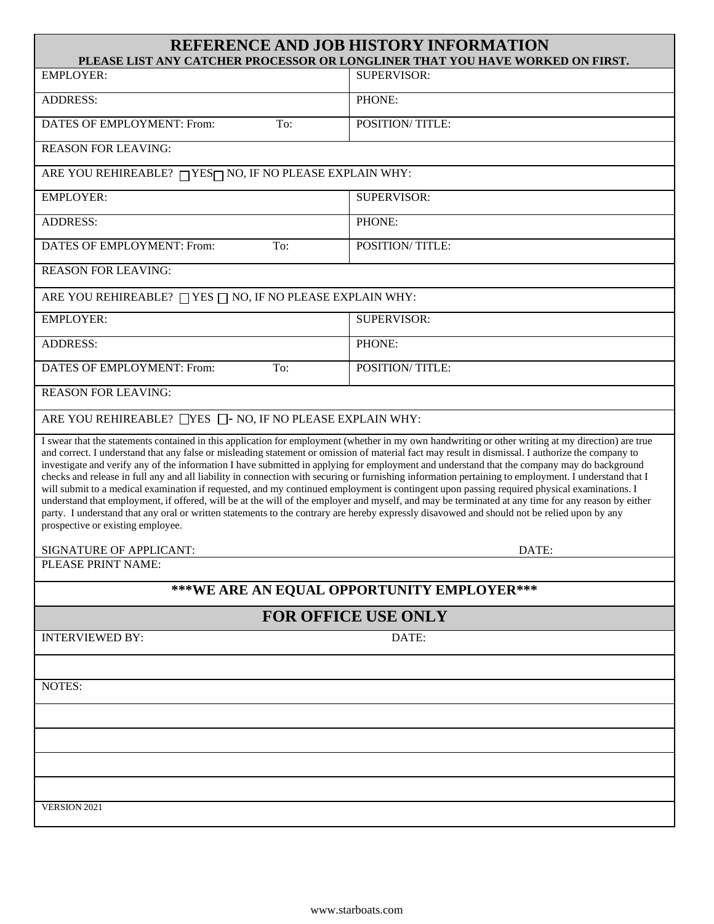| <b>REFERENCE AND JOB HISTORY INFORMATION</b><br>PLEASE LIST ANY CATCHER PROCESSOR OR LONGLINER THAT YOU HAVE WORKED ON FIRST.                                                                                                                                                                                                                                                                                                                                                                                                                                                                                                                                                                                                                                                                                                                                                                                                                                                                                                                                                                           |                        |  |
|---------------------------------------------------------------------------------------------------------------------------------------------------------------------------------------------------------------------------------------------------------------------------------------------------------------------------------------------------------------------------------------------------------------------------------------------------------------------------------------------------------------------------------------------------------------------------------------------------------------------------------------------------------------------------------------------------------------------------------------------------------------------------------------------------------------------------------------------------------------------------------------------------------------------------------------------------------------------------------------------------------------------------------------------------------------------------------------------------------|------------------------|--|
| <b>EMPLOYER:</b>                                                                                                                                                                                                                                                                                                                                                                                                                                                                                                                                                                                                                                                                                                                                                                                                                                                                                                                                                                                                                                                                                        | <b>SUPERVISOR:</b>     |  |
| <b>ADDRESS:</b>                                                                                                                                                                                                                                                                                                                                                                                                                                                                                                                                                                                                                                                                                                                                                                                                                                                                                                                                                                                                                                                                                         | PHONE:                 |  |
| DATES OF EMPLOYMENT: From:<br>To:                                                                                                                                                                                                                                                                                                                                                                                                                                                                                                                                                                                                                                                                                                                                                                                                                                                                                                                                                                                                                                                                       | POSITION/TITLE:        |  |
| <b>REASON FOR LEAVING:</b>                                                                                                                                                                                                                                                                                                                                                                                                                                                                                                                                                                                                                                                                                                                                                                                                                                                                                                                                                                                                                                                                              |                        |  |
| ARE YOU REHIREABLE? □ YES□ NO, IF NO PLEASE EXPLAIN WHY:                                                                                                                                                                                                                                                                                                                                                                                                                                                                                                                                                                                                                                                                                                                                                                                                                                                                                                                                                                                                                                                |                        |  |
| <b>EMPLOYER:</b>                                                                                                                                                                                                                                                                                                                                                                                                                                                                                                                                                                                                                                                                                                                                                                                                                                                                                                                                                                                                                                                                                        | <b>SUPERVISOR:</b>     |  |
| <b>ADDRESS:</b>                                                                                                                                                                                                                                                                                                                                                                                                                                                                                                                                                                                                                                                                                                                                                                                                                                                                                                                                                                                                                                                                                         | PHONE:                 |  |
| DATES OF EMPLOYMENT: From:<br>To:                                                                                                                                                                                                                                                                                                                                                                                                                                                                                                                                                                                                                                                                                                                                                                                                                                                                                                                                                                                                                                                                       | <b>POSITION/TITLE:</b> |  |
| <b>REASON FOR LEAVING:</b>                                                                                                                                                                                                                                                                                                                                                                                                                                                                                                                                                                                                                                                                                                                                                                                                                                                                                                                                                                                                                                                                              |                        |  |
| ARE YOU REHIREABLE? $\Box$ YES $\Box$ NO, IF NO PLEASE EXPLAIN WHY:                                                                                                                                                                                                                                                                                                                                                                                                                                                                                                                                                                                                                                                                                                                                                                                                                                                                                                                                                                                                                                     |                        |  |
| <b>EMPLOYER:</b>                                                                                                                                                                                                                                                                                                                                                                                                                                                                                                                                                                                                                                                                                                                                                                                                                                                                                                                                                                                                                                                                                        | <b>SUPERVISOR:</b>     |  |
| <b>ADDRESS:</b>                                                                                                                                                                                                                                                                                                                                                                                                                                                                                                                                                                                                                                                                                                                                                                                                                                                                                                                                                                                                                                                                                         | PHONE:                 |  |
| DATES OF EMPLOYMENT: From:<br>To:                                                                                                                                                                                                                                                                                                                                                                                                                                                                                                                                                                                                                                                                                                                                                                                                                                                                                                                                                                                                                                                                       | POSITION/TITLE:        |  |
| <b>REASON FOR LEAVING:</b>                                                                                                                                                                                                                                                                                                                                                                                                                                                                                                                                                                                                                                                                                                                                                                                                                                                                                                                                                                                                                                                                              |                        |  |
| ARE YOU REHIREABLE? ∐YES □- NO, IF NO PLEASE EXPLAIN WHY:                                                                                                                                                                                                                                                                                                                                                                                                                                                                                                                                                                                                                                                                                                                                                                                                                                                                                                                                                                                                                                               |                        |  |
| I swear that the statements contained in this application for employment (whether in my own handwriting or other writing at my direction) are true<br>and correct. I understand that any false or misleading statement or omission of material fact may result in dismissal. I authorize the company to<br>investigate and verify any of the information I have submitted in applying for employment and understand that the company may do background<br>checks and release in full any and all liability in connection with securing or furnishing information pertaining to employment. I understand that I<br>will submit to a medical examination if requested, and my continued employment is contingent upon passing required physical examinations. I<br>understand that employment, if offered, will be at the will of the employer and myself, and may be terminated at any time for any reason by either<br>party. I understand that any oral or written statements to the contrary are hereby expressly disavowed and should not be relied upon by any<br>prospective or existing employee. |                        |  |
| SIGNATURE OF APPLICANT:                                                                                                                                                                                                                                                                                                                                                                                                                                                                                                                                                                                                                                                                                                                                                                                                                                                                                                                                                                                                                                                                                 | DATE:                  |  |
| PLEASE PRINT NAME:                                                                                                                                                                                                                                                                                                                                                                                                                                                                                                                                                                                                                                                                                                                                                                                                                                                                                                                                                                                                                                                                                      |                        |  |
| ***WE ARE AN EQUAL OPPORTUNITY EMPLOYER***                                                                                                                                                                                                                                                                                                                                                                                                                                                                                                                                                                                                                                                                                                                                                                                                                                                                                                                                                                                                                                                              |                        |  |
| <b>FOR OFFICE USE ONLY</b>                                                                                                                                                                                                                                                                                                                                                                                                                                                                                                                                                                                                                                                                                                                                                                                                                                                                                                                                                                                                                                                                              |                        |  |
| <b>INTERVIEWED BY:</b>                                                                                                                                                                                                                                                                                                                                                                                                                                                                                                                                                                                                                                                                                                                                                                                                                                                                                                                                                                                                                                                                                  | DATE:                  |  |
|                                                                                                                                                                                                                                                                                                                                                                                                                                                                                                                                                                                                                                                                                                                                                                                                                                                                                                                                                                                                                                                                                                         |                        |  |
| NOTES:                                                                                                                                                                                                                                                                                                                                                                                                                                                                                                                                                                                                                                                                                                                                                                                                                                                                                                                                                                                                                                                                                                  |                        |  |
|                                                                                                                                                                                                                                                                                                                                                                                                                                                                                                                                                                                                                                                                                                                                                                                                                                                                                                                                                                                                                                                                                                         |                        |  |
|                                                                                                                                                                                                                                                                                                                                                                                                                                                                                                                                                                                                                                                                                                                                                                                                                                                                                                                                                                                                                                                                                                         |                        |  |
|                                                                                                                                                                                                                                                                                                                                                                                                                                                                                                                                                                                                                                                                                                                                                                                                                                                                                                                                                                                                                                                                                                         |                        |  |
|                                                                                                                                                                                                                                                                                                                                                                                                                                                                                                                                                                                                                                                                                                                                                                                                                                                                                                                                                                                                                                                                                                         |                        |  |
| VERSION 2021                                                                                                                                                                                                                                                                                                                                                                                                                                                                                                                                                                                                                                                                                                                                                                                                                                                                                                                                                                                                                                                                                            |                        |  |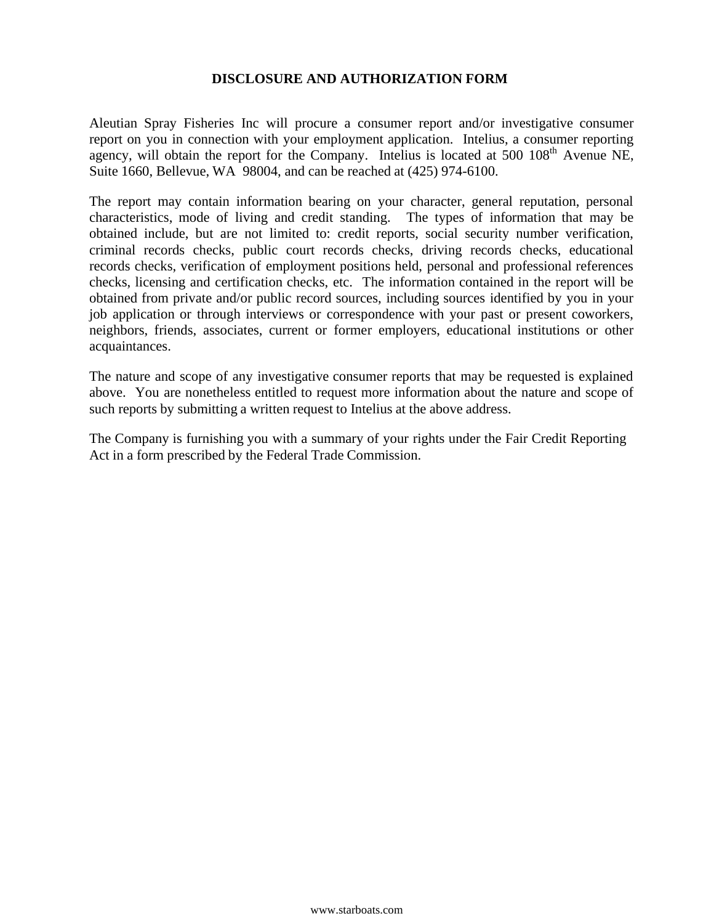## **DISCLOSURE AND AUTHORIZATION FORM**

Aleutian Spray Fisheries Inc will procure a consumer report and/or investigative consumer report on you in connection with your employment application. Intelius, a consumer reporting agency, will obtain the report for the Company. Intelius is located at 500 108<sup>th</sup> Avenue NE, Suite 1660, Bellevue, WA 98004, and can be reached at (425) 974-6100.

The report may contain information bearing on your character, general reputation, personal characteristics, mode of living and credit standing. The types of information that may be obtained include, but are not limited to: credit reports, social security number verification, criminal records checks, public court records checks, driving records checks, educational records checks, verification of employment positions held, personal and professional references checks, licensing and certification checks, etc. The information contained in the report will be obtained from private and/or public record sources, including sources identified by you in your job application or through interviews or correspondence with your past or present coworkers, neighbors, friends, associates, current or former employers, educational institutions or other acquaintances.

The nature and scope of any investigative consumer reports that may be requested is explained above. You are nonetheless entitled to request more information about the nature and scope of such reports by submitting a written request to Intelius at the above address.

The Company is furnishing you with a summary of your rights under the Fair Credit Reporting Act in a form prescribed by the Federal Trade Commission.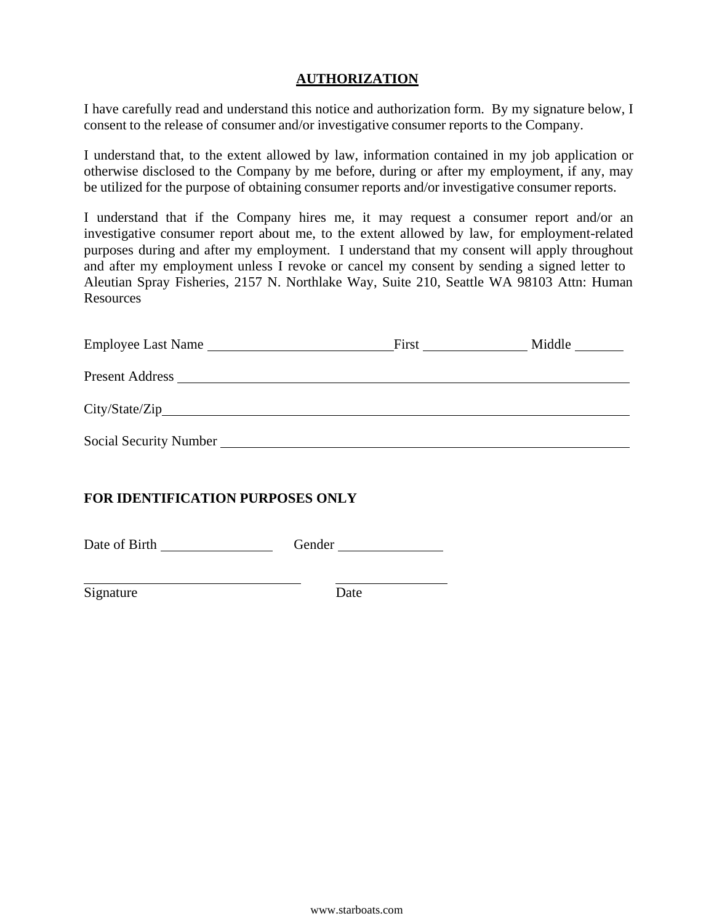## **AUTHORIZATION**

I have carefully read and understand this notice and authorization form. By my signature below, I consent to the release of consumer and/or investigative consumer reports to the Company.

I understand that, to the extent allowed by law, information contained in my job application or otherwise disclosed to the Company by me before, during or after my employment, if any, may be utilized for the purpose of obtaining consumer reports and/or investigative consumer reports.

I understand that if the Company hires me, it may request a consumer report and/or an investigative consumer report about me, to the extent allowed by law, for employment-related purposes during and after my employment. I understand that my consent will apply throughout and after my employment unless I revoke or cancel my consent by sending a signed letter to Aleutian Spray Fisheries, 2157 N. Northlake Way, Suite 210, Seattle WA 98103 Attn: Human Resources

| Employee Last Name                      |  |  |
|-----------------------------------------|--|--|
|                                         |  |  |
| City/State/Zip                          |  |  |
|                                         |  |  |
|                                         |  |  |
| <b>FOR IDENTIFICATION PURPOSES ONLY</b> |  |  |

Date of Birth Gender Gender Gender Gender Contains a Gender Containing Section 1.

Signature Date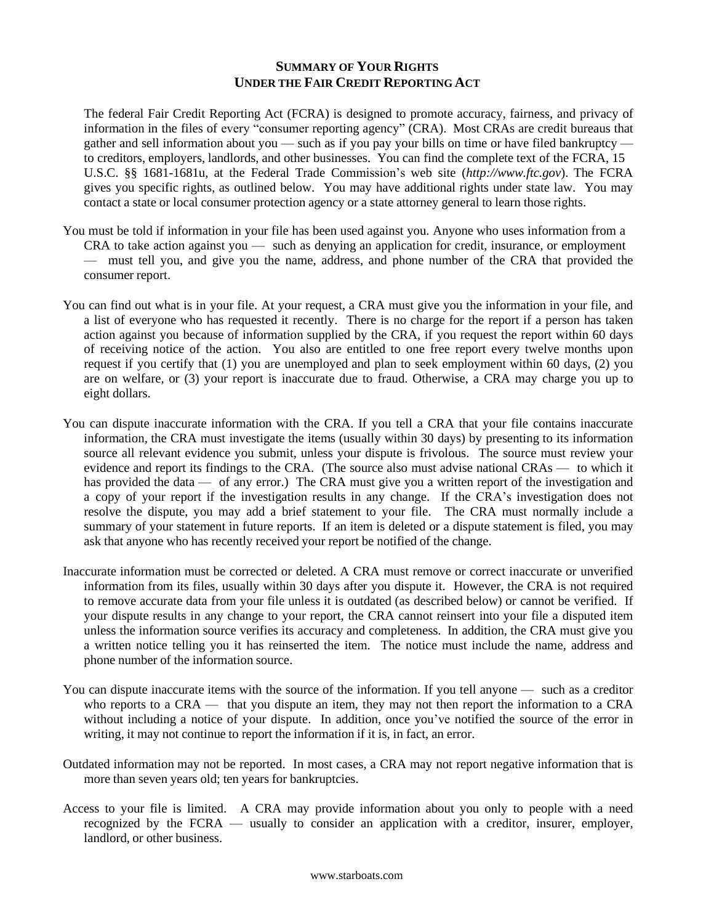## **SUMMARY OF YOUR RIGHTS UNDER THE FAIR CREDIT REPORTING ACT**

The federal Fair Credit Reporting Act (FCRA) is designed to promote accuracy, fairness, and privacy of information in the files of every "consumer reporting agency" (CRA). Most CRAs are credit bureaus that gather and sell information about you — such as if you pay your bills on time or have filed bankruptcy to creditors, employers, landlords, and other businesses. You can find the complete text of the FCRA, 15 U.S.C. §§ 1681-1681u, at the Federal Trade Commission's web site (*http://www.ftc.gov*). The FCRA gives you specific rights, as outlined below. You may have additional rights under state law. You may contact a state or local consumer protection agency or a state attorney general to learn those rights.

- You must be told if information in your file has been used against you. Anyone who uses information from a CRA to take action against you — such as denying an application for credit, insurance, or employment — must tell you, and give you the name, address, and phone number of the CRA that provided the consumer report.
- You can find out what is in your file. At your request, a CRA must give you the information in your file, and a list of everyone who has requested it recently. There is no charge for the report if a person has taken action against you because of information supplied by the CRA, if you request the report within 60 days of receiving notice of the action. You also are entitled to one free report every twelve months upon request if you certify that (1) you are unemployed and plan to seek employment within 60 days, (2) you are on welfare, or (3) your report is inaccurate due to fraud. Otherwise, a CRA may charge you up to eight dollars.
- You can dispute inaccurate information with the CRA. If you tell a CRA that your file contains inaccurate information, the CRA must investigate the items (usually within 30 days) by presenting to its information source all relevant evidence you submit, unless your dispute is frivolous. The source must review your evidence and report its findings to the CRA. (The source also must advise national CRAs — to which it has provided the data — of any error.) The CRA must give you a written report of the investigation and a copy of your report if the investigation results in any change. If the CRA's investigation does not resolve the dispute, you may add a brief statement to your file. The CRA must normally include a summary of your statement in future reports. If an item is deleted or a dispute statement is filed, you may ask that anyone who has recently received your report be notified of the change.
- Inaccurate information must be corrected or deleted. A CRA must remove or correct inaccurate or unverified information from its files, usually within 30 days after you dispute it. However, the CRA is not required to remove accurate data from your file unless it is outdated (as described below) or cannot be verified. If your dispute results in any change to your report, the CRA cannot reinsert into your file a disputed item unless the information source verifies its accuracy and completeness. In addition, the CRA must give you a written notice telling you it has reinserted the item. The notice must include the name, address and phone number of the information source.
- You can dispute inaccurate items with the source of the information. If you tell anyone such as a creditor who reports to a CRA — that you dispute an item, they may not then report the information to a CRA without including a notice of your dispute. In addition, once you've notified the source of the error in writing, it may not continue to report the information if it is, in fact, an error.
- Outdated information may not be reported. In most cases, a CRA may not report negative information that is more than seven years old; ten years for bankruptcies.
- Access to your file is limited. A CRA may provide information about you only to people with a need recognized by the FCRA — usually to consider an application with a creditor, insurer, employer, landlord, or other business.